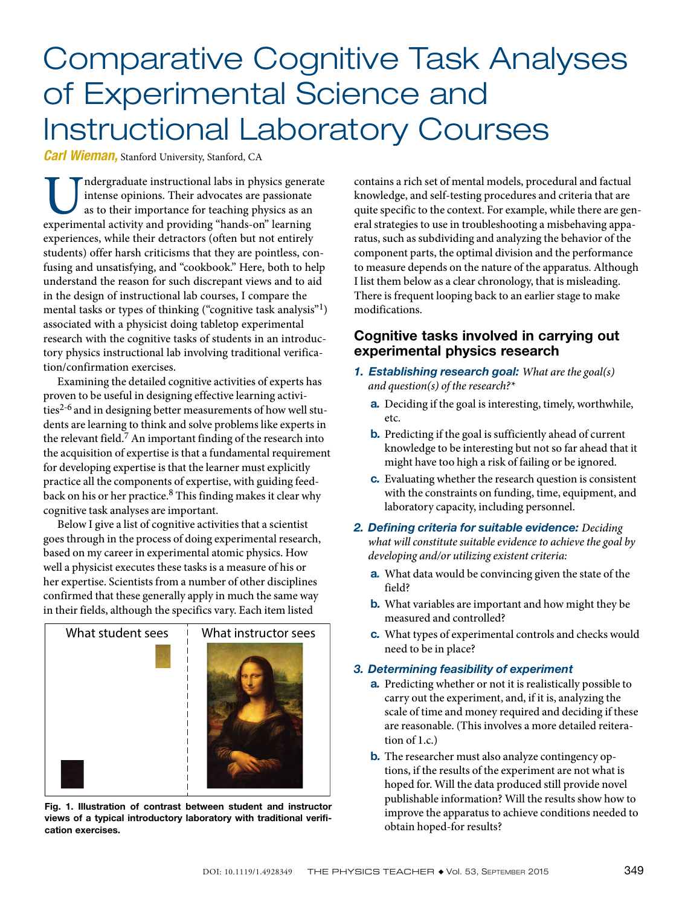# Comparative Cognitive Task Analyses of Experimental Science and Instructional Laboratory Courses

*Carl Wieman,* Stanford University, Stanford, CA

Imdergraduate instructional labs in physics generate intense opinions. Their advocates are passionate as to their importance for teaching physics as an experimental activity and providing "hands-on" learning intense opinions. Their advocates are passionate as to their importance for teaching physics as an experiences, while their detractors (often but not entirely students) offer harsh criticisms that they are pointless, confusing and unsatisfying, and "cookbook." Here, both to help understand the reason for such discrepant views and to aid in the design of instructional lab courses, I compare the mental tasks or types of thinking ("cognitive task analysis"<sup>1</sup>) associated with a physicist doing tabletop experimental research with the cognitive tasks of students in an introductory physics instructional lab involving traditional verification/confirmation exercises.

Examining the detailed cognitive activities of experts has proven to be useful in designing effective learning activities<sup>2-6</sup> and in designing better measurements of how well students are learning to think and solve problems like experts in the relevant field.<sup>7</sup> An important finding of the research into the acquisition of expertise is that a fundamental requirement for developing expertise is that the learner must explicitly practice all the components of expertise, with guiding feedback on his or her practice. $8$  This finding makes it clear why cognitive task analyses are important.

Below I give a list of cognitive activities that a scientist goes through in the process of doing experimental research, based on my career in experimental atomic physics. How well a physicist executes these tasks is a measure of his or her expertise. Scientists from a number of other disciplines confirmed that these generally apply in much the same way in their fields, although the specifics vary. Each item listed



Fig. 1. Illustration of contrast between student and instructor views of a typical introductory laboratory with traditional verification exercises.

contains a rich set of mental models, procedural and factual knowledge, and self-testing procedures and criteria that are quite specific to the context. For example, while there are general strategies to use in troubleshooting a misbehaving apparatus, such as subdividing and analyzing the behavior of the component parts, the optimal division and the performance to measure depends on the nature of the apparatus. Although I list them below as a clear chronology, that is misleading. There is frequent looping back to an earlier stage to make modifications.

## Cognitive tasks involved in carrying out experimental physics research

- *1. Establishing research goal: What are the goal(s) and question(s) of the research?\** 
	- a*.* Deciding if the goal is interesting, timely, worthwhile, etc.
	- b*.* Predicting if the goal is sufficiently ahead of current knowledge to be interesting but not so far ahead that it might have too high a risk of failing or be ignored.
	- c*.* Evaluating whether the research question is consistent with the constraints on funding, time, equipment, and laboratory capacity, including personnel.
- *2. Defining criteria for suitable evidence: Deciding what will constitute suitable evidence to achieve the goal by developing and/or utilizing existent criteria:* 
	- a*.* What data would be convincing given the state of the field?
	- b*.* What variables are important and how might they be measured and controlled?
	- c*.* What types of experimental controls and checks would need to be in place?

#### *3. Determining feasibility of experiment*

- a*.* Predicting whether or not it is realistically possible to carry out the experiment, and, if it is, analyzing the scale of time and money required and deciding if these are reasonable. (This involves a more detailed reiteration of 1.c.)
- **b**. The researcher must also analyze contingency options, if the results of the experiment are not what is hoped for. Will the data produced still provide novel publishable information? Will the results show how to improve the apparatus to achieve conditions needed to obtain hoped-for results?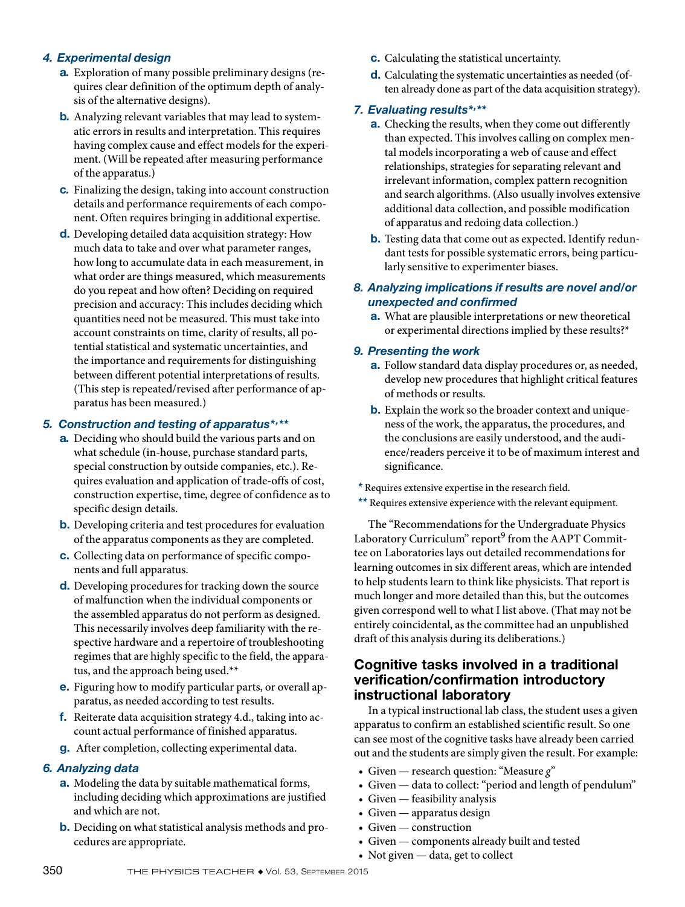### *4. Experimental design*

- a*.* Exploration of many possible preliminary designs (requires clear definition of the optimum depth of analysis of the alternative designs).
- b*.* Analyzing relevant variables that may lead to systematic errors in results and interpretation. This requires having complex cause and effect models for the experiment. (Will be repeated after measuring performance of the apparatus.)
- c*.* Finalizing the design, taking into account construction details and performance requirements of each component. Often requires bringing in additional expertise.
- d. Developing detailed data acquisition strategy: How much data to take and over what parameter ranges, how long to accumulate data in each measurement, in what order are things measured, which measurements do you repeat and how often? Deciding on required precision and accuracy: This includes deciding which quantities need not be measured. This must take into account constraints on time, clarity of results, all potential statistical and systematic uncertainties, and the importance and requirements for distinguishing between different potential interpretations of results. (This step is repeated/revised after performance of apparatus has been measured.)

#### *5. Construction and testing of apparatus\* , \*\**

- a*.* Deciding who should build the various parts and on what schedule (in-house, purchase standard parts, special construction by outside companies, etc.). Requires evaluation and application of trade-offs of cost, construction expertise, time, degree of confidence as to specific design details.
- b. Developing criteria and test procedures for evaluation of the apparatus components as they are completed.
- c. Collecting data on performance of specific components and full apparatus.
- d. Developing procedures for tracking down the source of malfunction when the individual components or the assembled apparatus do not perform as designed. This necessarily involves deep familiarity with the respective hardware and a repertoire of troubleshooting regimes that are highly specific to the field, the apparatus, and the approach being used.\*\*
- e. Figuring how to modify particular parts, or overall apparatus, as needed according to test results.
- f. Reiterate data acquisition strategy 4.d., taking into account actual performance of finished apparatus.
- g. After completion, collecting experimental data.

#### *6. Analyzing data*

- a. Modeling the data by suitable mathematical forms, including deciding which approximations are justified and which are not.
- b. Deciding on what statistical analysis methods and procedures are appropriate.
- c. Calculating the statistical uncertainty.
- d. Calculating the systematic uncertainties as needed (often already done as part of the data acquisition strategy).

#### *7. Evaluating results\*, \*\**

- a. Checking the results, when they come out differently than expected. This involves calling on complex mental models incorporating a web of cause and effect relationships, strategies for separating relevant and irrelevant information, complex pattern recognition and search algorithms. (Also usually involves extensive additional data collection, and possible modification of apparatus and redoing data collection.)
- b. Testing data that come out as expected. Identify redundant tests for possible systematic errors, being particularly sensitive to experimenter biases.

#### *8. Analyzing implications if results are novel and/or unexpected and confirmed*

a. What are plausible interpretations or new theoretical or experimental directions implied by these results?\*

#### *9. Presenting the work*

- a. Follow standard data display procedures or, as needed, develop new procedures that highlight critical features of methods or results.
- b. Explain the work so the broader context and uniqueness of the work, the apparatus, the procedures, and the conclusions are easily understood, and the audience/readers perceive it to be of maximum interest and significance.
- *\** Requires extensive expertise in the research field.
- *\*\** Requires extensive experience with the relevant equipment.

The "Recommendations for the Undergraduate Physics Laboratory Curriculum" report<sup>9</sup> from the AAPT Committee on Laboratories lays out detailed recommendations for learning outcomes in six different areas, which are intended to help students learn to think like physicists. That report is much longer and more detailed than this, but the outcomes given correspond well to what I list above. (That may not be entirely coincidental, as the committee had an unpublished draft of this analysis during its deliberations.)

## Cognitive tasks involved in a traditional verification/confirmation introductory instructional laboratory

In a typical instructional lab class, the student uses a given apparatus to confirm an established scientific result. So one can see most of the cognitive tasks have already been carried out and the students are simply given the result. For example:

- Given research question: "Measure *g*"
- Given data to collect: "period and length of pendulum"
- Given feasibility analysis
- Given apparatus design
- Given construction
- Given components already built and tested
- Not given data, get to collect